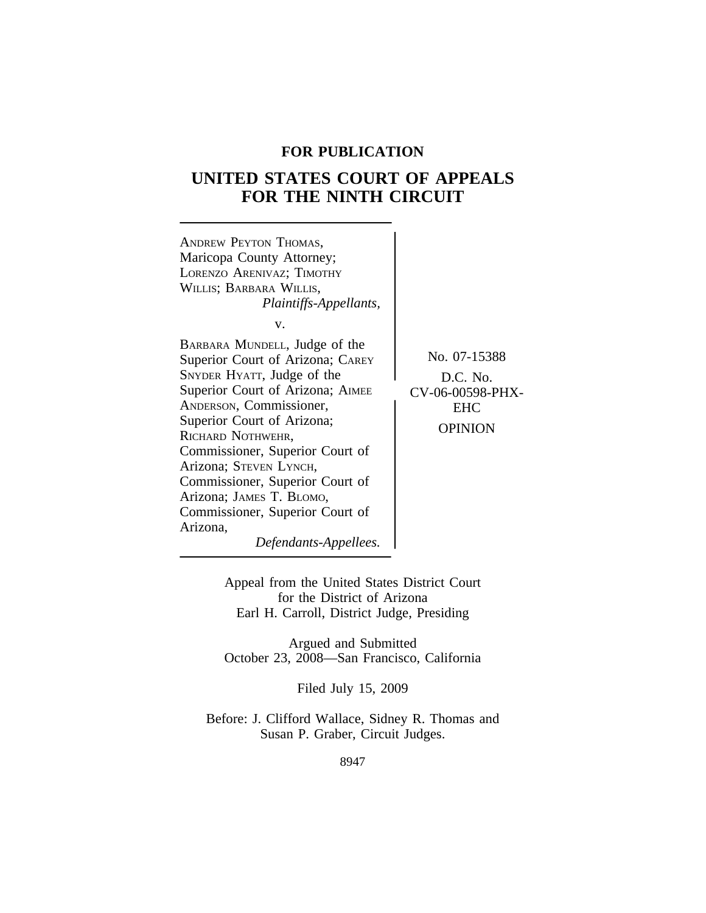### **FOR PUBLICATION**

# **UNITED STATES COURT OF APPEALS FOR THE NINTH CIRCUIT**



Appeal from the United States District Court for the District of Arizona Earl H. Carroll, District Judge, Presiding

Argued and Submitted October 23, 2008—San Francisco, California

Filed July 15, 2009

Before: J. Clifford Wallace, Sidney R. Thomas and Susan P. Graber, Circuit Judges.

8947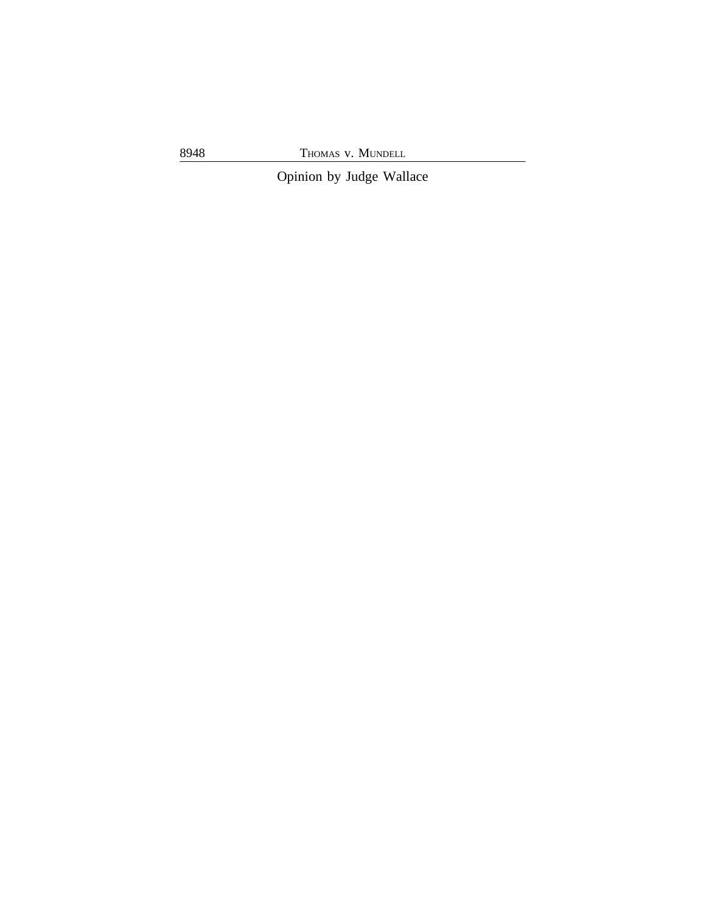8948 THOMAS v. MUNDELL

Opinion by Judge Wallace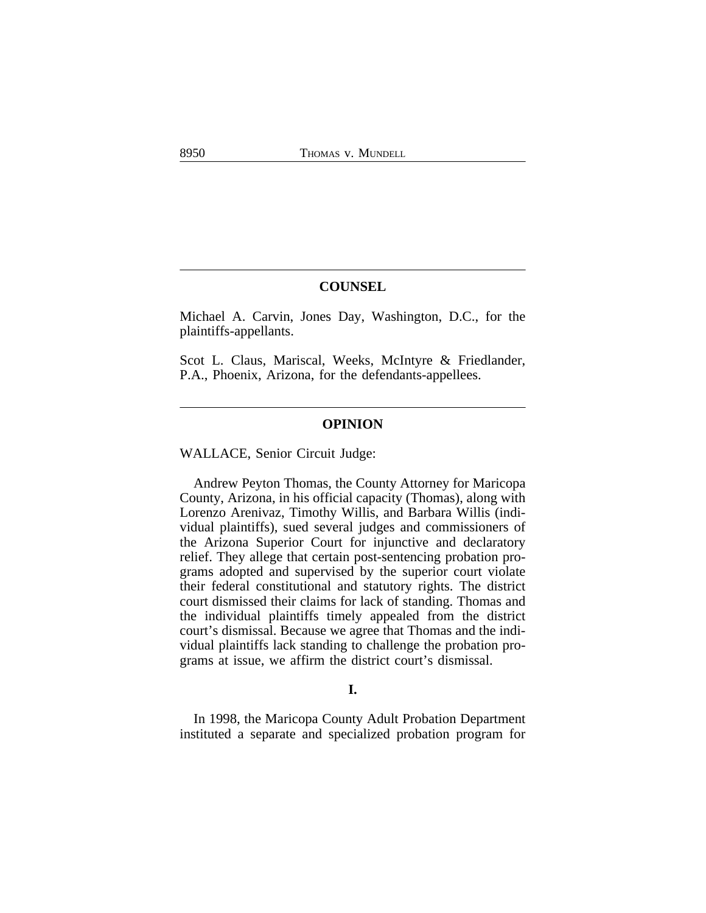### **COUNSEL**

Michael A. Carvin, Jones Day, Washington, D.C., for the plaintiffs-appellants.

Scot L. Claus, Mariscal, Weeks, McIntyre & Friedlander, P.A., Phoenix, Arizona, for the defendants-appellees.

### **OPINION**

WALLACE, Senior Circuit Judge:

Andrew Peyton Thomas, the County Attorney for Maricopa County, Arizona, in his official capacity (Thomas), along with Lorenzo Arenivaz, Timothy Willis, and Barbara Willis (individual plaintiffs), sued several judges and commissioners of the Arizona Superior Court for injunctive and declaratory relief. They allege that certain post-sentencing probation programs adopted and supervised by the superior court violate their federal constitutional and statutory rights. The district court dismissed their claims for lack of standing. Thomas and the individual plaintiffs timely appealed from the district court's dismissal. Because we agree that Thomas and the individual plaintiffs lack standing to challenge the probation programs at issue, we affirm the district court's dismissal.

#### **I.**

In 1998, the Maricopa County Adult Probation Department instituted a separate and specialized probation program for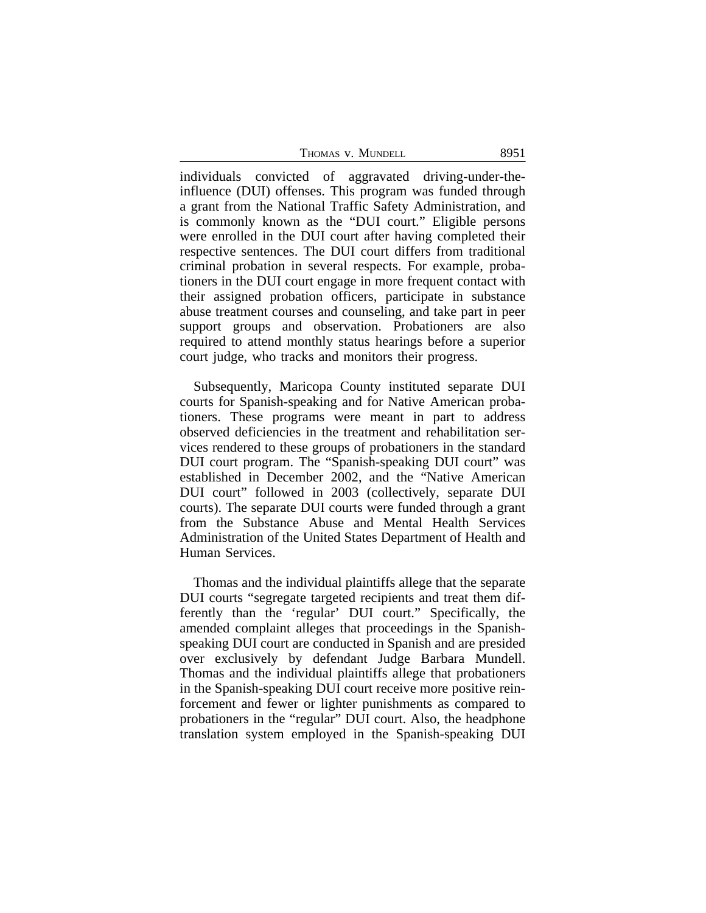THOMAS V. MUNDELL 8951

individuals convicted of aggravated driving-under-theinfluence (DUI) offenses. This program was funded through a grant from the National Traffic Safety Administration, and is commonly known as the "DUI court." Eligible persons were enrolled in the DUI court after having completed their respective sentences. The DUI court differs from traditional criminal probation in several respects. For example, probationers in the DUI court engage in more frequent contact with their assigned probation officers, participate in substance abuse treatment courses and counseling, and take part in peer support groups and observation. Probationers are also required to attend monthly status hearings before a superior court judge, who tracks and monitors their progress.

Subsequently, Maricopa County instituted separate DUI courts for Spanish-speaking and for Native American probationers. These programs were meant in part to address observed deficiencies in the treatment and rehabilitation services rendered to these groups of probationers in the standard DUI court program. The "Spanish-speaking DUI court" was established in December 2002, and the "Native American DUI court" followed in 2003 (collectively, separate DUI courts). The separate DUI courts were funded through a grant from the Substance Abuse and Mental Health Services Administration of the United States Department of Health and Human Services.

Thomas and the individual plaintiffs allege that the separate DUI courts "segregate targeted recipients and treat them differently than the 'regular' DUI court." Specifically, the amended complaint alleges that proceedings in the Spanishspeaking DUI court are conducted in Spanish and are presided over exclusively by defendant Judge Barbara Mundell. Thomas and the individual plaintiffs allege that probationers in the Spanish-speaking DUI court receive more positive reinforcement and fewer or lighter punishments as compared to probationers in the "regular" DUI court. Also, the headphone translation system employed in the Spanish-speaking DUI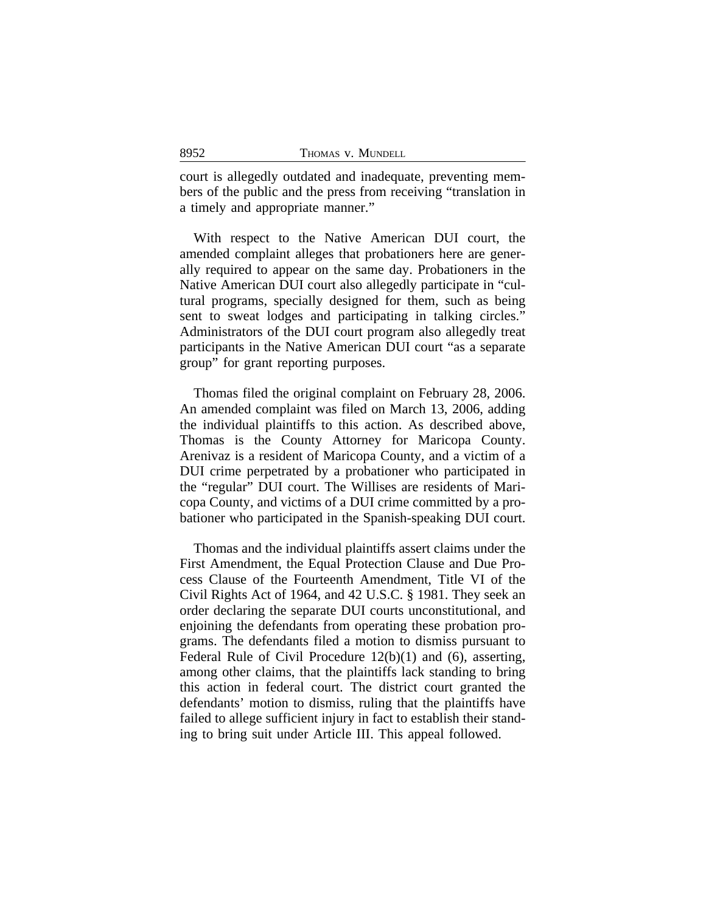court is allegedly outdated and inadequate, preventing members of the public and the press from receiving "translation in a timely and appropriate manner."

With respect to the Native American DUI court, the amended complaint alleges that probationers here are generally required to appear on the same day. Probationers in the Native American DUI court also allegedly participate in "cultural programs, specially designed for them, such as being sent to sweat lodges and participating in talking circles." Administrators of the DUI court program also allegedly treat participants in the Native American DUI court "as a separate group" for grant reporting purposes.

Thomas filed the original complaint on February 28, 2006. An amended complaint was filed on March 13, 2006, adding the individual plaintiffs to this action. As described above, Thomas is the County Attorney for Maricopa County. Arenivaz is a resident of Maricopa County, and a victim of a DUI crime perpetrated by a probationer who participated in the "regular" DUI court. The Willises are residents of Maricopa County, and victims of a DUI crime committed by a probationer who participated in the Spanish-speaking DUI court.

Thomas and the individual plaintiffs assert claims under the First Amendment, the Equal Protection Clause and Due Process Clause of the Fourteenth Amendment, Title VI of the Civil Rights Act of 1964, and 42 U.S.C. § 1981. They seek an order declaring the separate DUI courts unconstitutional, and enjoining the defendants from operating these probation programs. The defendants filed a motion to dismiss pursuant to Federal Rule of Civil Procedure 12(b)(1) and (6), asserting, among other claims, that the plaintiffs lack standing to bring this action in federal court. The district court granted the defendants' motion to dismiss, ruling that the plaintiffs have failed to allege sufficient injury in fact to establish their standing to bring suit under Article III. This appeal followed.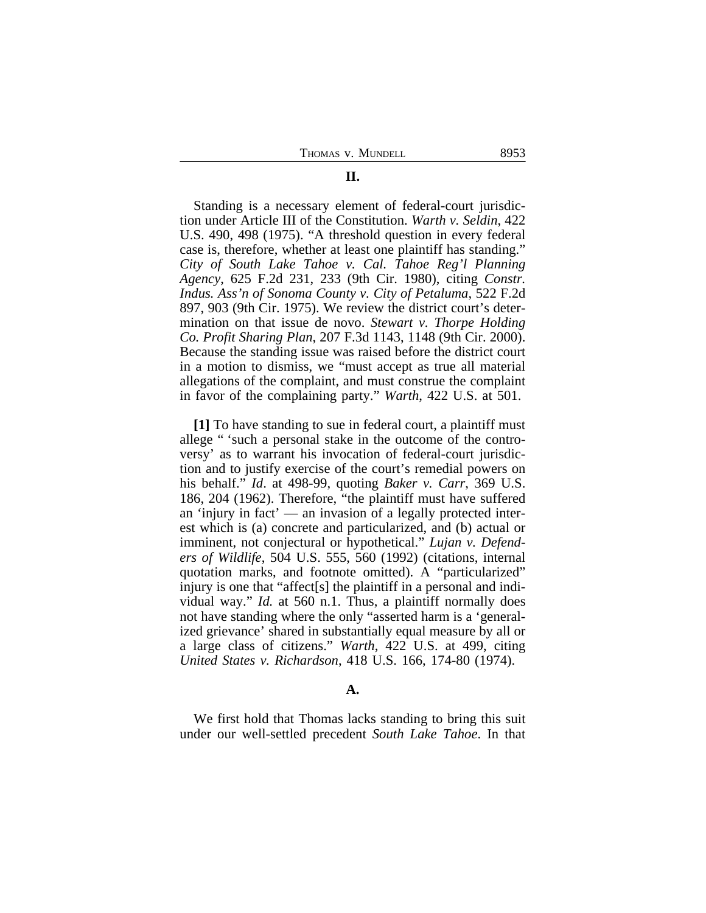### Standing is a necessary element of federal-court jurisdiction under Article III of the Constitution. *Warth v. Seldin*, 422 U.S. 490, 498 (1975). "A threshold question in every federal case is, therefore, whether at least one plaintiff has standing." *City of South Lake Tahoe v. Cal. Tahoe Reg'l Planning Agency*, 625 F.2d 231, 233 (9th Cir. 1980), citing *Constr. Indus. Ass'n of Sonoma County v. City of Petaluma*, 522 F.2d 897, 903 (9th Cir. 1975). We review the district court's determination on that issue de novo. *Stewart v. Thorpe Holding Co. Profit Sharing Plan*, 207 F.3d 1143, 1148 (9th Cir. 2000). Because the standing issue was raised before the district court in a motion to dismiss, we "must accept as true all material allegations of the complaint, and must construe the complaint in favor of the complaining party." *Warth*, 422 U.S. at 501.

**[1]** To have standing to sue in federal court, a plaintiff must allege " 'such a personal stake in the outcome of the controversy' as to warrant his invocation of federal-court jurisdiction and to justify exercise of the court's remedial powers on his behalf." *Id*. at 498-99, quoting *Baker v. Carr*, 369 U.S. 186, 204 (1962). Therefore, "the plaintiff must have suffered an 'injury in fact' — an invasion of a legally protected interest which is (a) concrete and particularized, and (b) actual or imminent, not conjectural or hypothetical." *Lujan v. Defenders of Wildlife*, 504 U.S. 555, 560 (1992) (citations, internal quotation marks, and footnote omitted). A "particularized" injury is one that "affect[s] the plaintiff in a personal and individual way." *Id.* at 560 n.1. Thus, a plaintiff normally does not have standing where the only "asserted harm is a 'generalized grievance' shared in substantially equal measure by all or a large class of citizens." *Warth*, 422 U.S. at 499, citing *United States v. Richardson*, 418 U.S. 166, 174-80 (1974).

### **A.**

We first hold that Thomas lacks standing to bring this suit under our well-settled precedent *South Lake Tahoe*. In that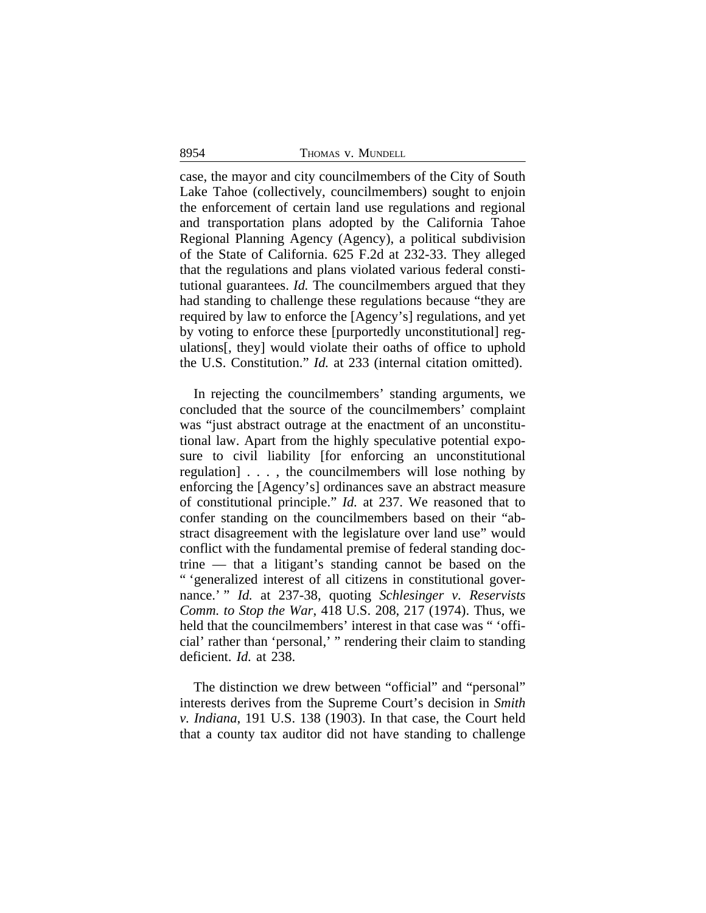#### 8954 THOMAS v. MUNDELL

case, the mayor and city councilmembers of the City of South Lake Tahoe (collectively, councilmembers) sought to enjoin the enforcement of certain land use regulations and regional and transportation plans adopted by the California Tahoe Regional Planning Agency (Agency), a political subdivision of the State of California. 625 F.2d at 232-33. They alleged that the regulations and plans violated various federal constitutional guarantees. *Id.* The councilmembers argued that they had standing to challenge these regulations because "they are required by law to enforce the [Agency's] regulations, and yet by voting to enforce these [purportedly unconstitutional] regulations[, they] would violate their oaths of office to uphold the U.S. Constitution." *Id.* at 233 (internal citation omitted).

In rejecting the councilmembers' standing arguments, we concluded that the source of the councilmembers' complaint was "just abstract outrage at the enactment of an unconstitutional law. Apart from the highly speculative potential exposure to civil liability [for enforcing an unconstitutional regulation] . . . , the councilmembers will lose nothing by enforcing the [Agency's] ordinances save an abstract measure of constitutional principle." *Id.* at 237. We reasoned that to confer standing on the councilmembers based on their "abstract disagreement with the legislature over land use" would conflict with the fundamental premise of federal standing doctrine — that a litigant's standing cannot be based on the " 'generalized interest of all citizens in constitutional governance.' " *Id.* at 237-38, quoting *Schlesinger v. Reservists Comm. to Stop the War*, 418 U.S. 208, 217 (1974). Thus, we held that the councilmembers' interest in that case was " 'official' rather than 'personal,' " rendering their claim to standing deficient. *Id.* at 238.

The distinction we drew between "official" and "personal" interests derives from the Supreme Court's decision in *Smith v. Indiana*, 191 U.S. 138 (1903). In that case, the Court held that a county tax auditor did not have standing to challenge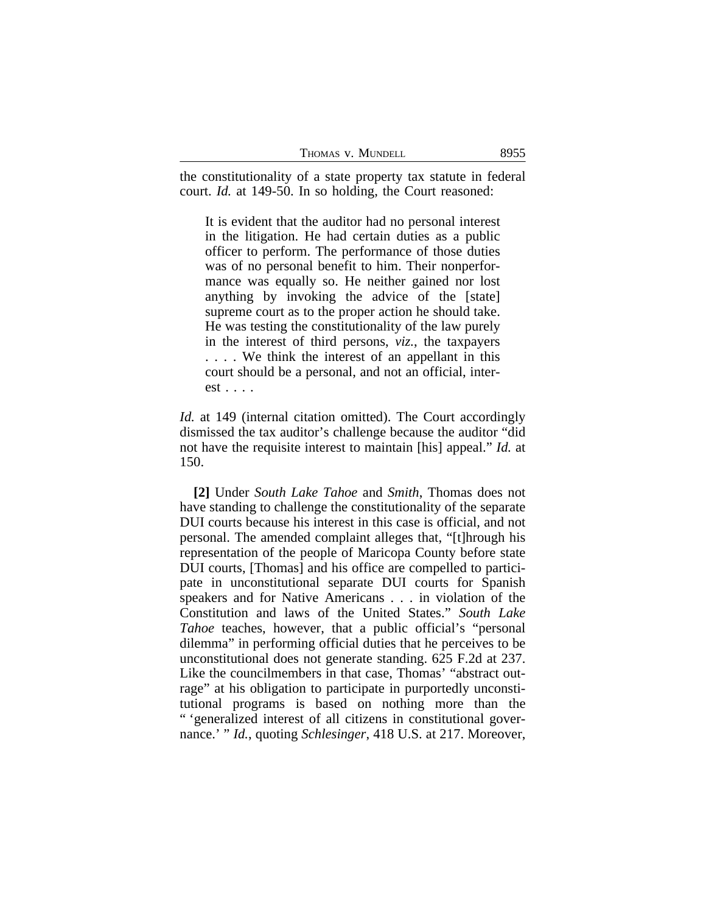| 8955<br>THOMAS V. MUNDELL |
|---------------------------|
|---------------------------|

the constitutionality of a state property tax statute in federal court. *Id.* at 149-50. In so holding, the Court reasoned:

It is evident that the auditor had no personal interest in the litigation. He had certain duties as a public officer to perform. The performance of those duties was of no personal benefit to him. Their nonperformance was equally so. He neither gained nor lost anything by invoking the advice of the [state] supreme court as to the proper action he should take. He was testing the constitutionality of the law purely in the interest of third persons, *viz.*, the taxpayers . . . . We think the interest of an appellant in this court should be a personal, and not an official, interest . . . .

*Id.* at 149 (internal citation omitted). The Court accordingly dismissed the tax auditor's challenge because the auditor "did not have the requisite interest to maintain [his] appeal." *Id.* at 150.

**[2]** Under *South Lake Tahoe* and *Smith*, Thomas does not have standing to challenge the constitutionality of the separate DUI courts because his interest in this case is official, and not personal. The amended complaint alleges that, "[t]hrough his representation of the people of Maricopa County before state DUI courts, [Thomas] and his office are compelled to participate in unconstitutional separate DUI courts for Spanish speakers and for Native Americans . . . in violation of the Constitution and laws of the United States." *South Lake Tahoe* teaches, however, that a public official's "personal dilemma" in performing official duties that he perceives to be unconstitutional does not generate standing. 625 F.2d at 237. Like the councilmembers in that case, Thomas' "abstract outrage" at his obligation to participate in purportedly unconstitutional programs is based on nothing more than the " 'generalized interest of all citizens in constitutional governance.' " *Id.*, quoting *Schlesinger*, 418 U.S. at 217. Moreover,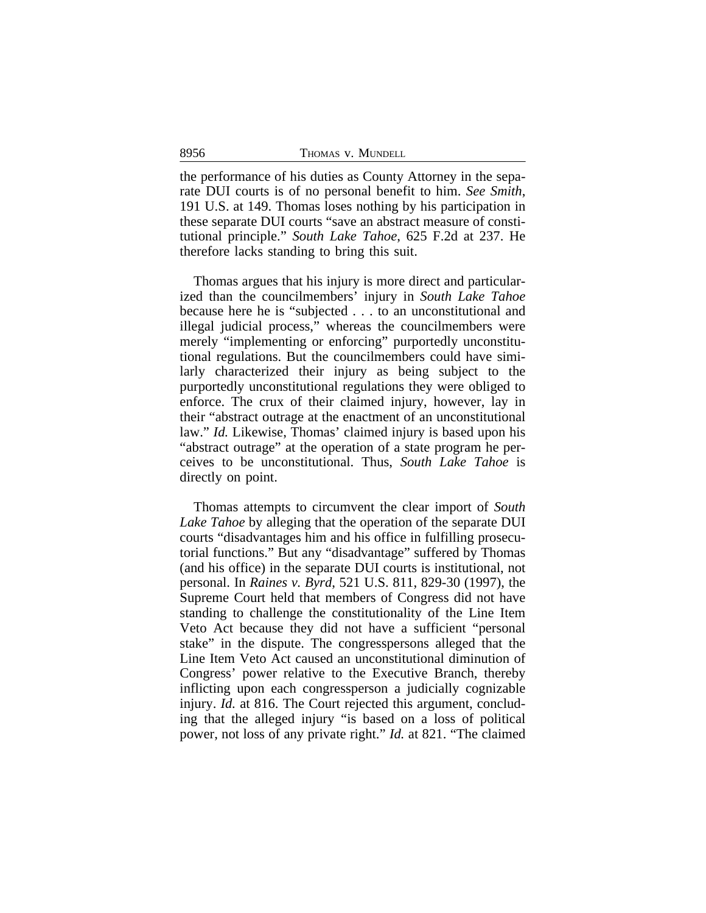| 8956 | THOMAS V. MUNDELL |  |
|------|-------------------|--|
|      |                   |  |

the performance of his duties as County Attorney in the separate DUI courts is of no personal benefit to him. *See Smith*, 191 U.S. at 149. Thomas loses nothing by his participation in these separate DUI courts "save an abstract measure of constitutional principle." *South Lake Tahoe*, 625 F.2d at 237. He therefore lacks standing to bring this suit.

Thomas argues that his injury is more direct and particularized than the councilmembers' injury in *South Lake Tahoe* because here he is "subjected . . . to an unconstitutional and illegal judicial process," whereas the councilmembers were merely "implementing or enforcing" purportedly unconstitutional regulations. But the councilmembers could have similarly characterized their injury as being subject to the purportedly unconstitutional regulations they were obliged to enforce. The crux of their claimed injury, however, lay in their "abstract outrage at the enactment of an unconstitutional law." *Id.* Likewise, Thomas' claimed injury is based upon his "abstract outrage" at the operation of a state program he perceives to be unconstitutional. Thus, *South Lake Tahoe* is directly on point.

Thomas attempts to circumvent the clear import of *South Lake Tahoe* by alleging that the operation of the separate DUI courts "disadvantages him and his office in fulfilling prosecutorial functions." But any "disadvantage" suffered by Thomas (and his office) in the separate DUI courts is institutional, not personal. In *Raines v. Byrd*, 521 U.S. 811, 829-30 (1997), the Supreme Court held that members of Congress did not have standing to challenge the constitutionality of the Line Item Veto Act because they did not have a sufficient "personal stake" in the dispute. The congresspersons alleged that the Line Item Veto Act caused an unconstitutional diminution of Congress' power relative to the Executive Branch, thereby inflicting upon each congressperson a judicially cognizable injury. *Id.* at 816. The Court rejected this argument, concluding that the alleged injury "is based on a loss of political power, not loss of any private right." *Id.* at 821. "The claimed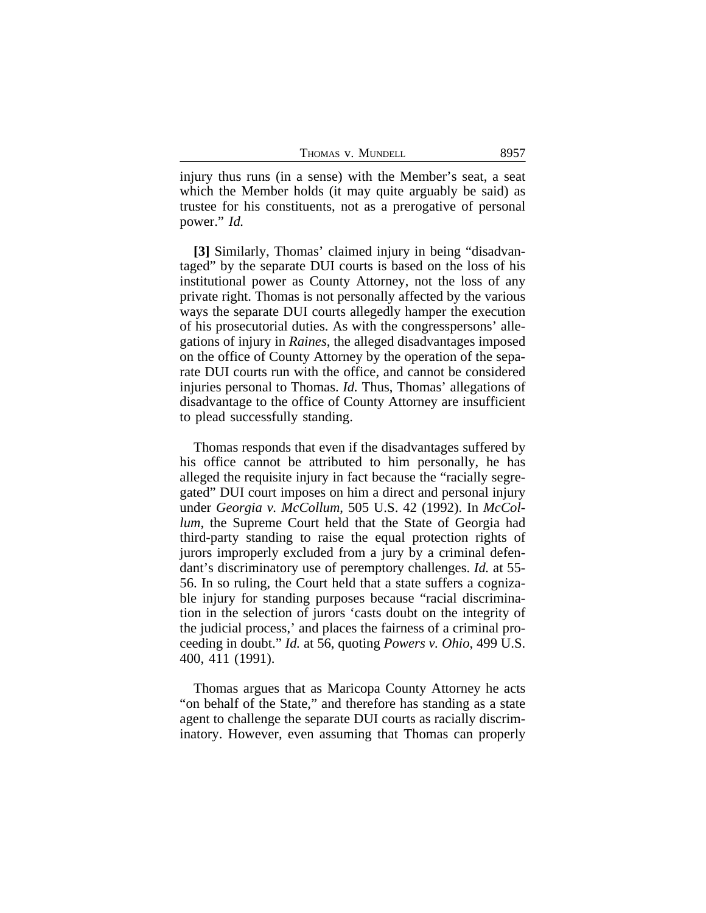| THOMAS V. MUNDELL | 8957 |
|-------------------|------|
|-------------------|------|

injury thus runs (in a sense) with the Member's seat, a seat which the Member holds (it may quite arguably be said) as trustee for his constituents, not as a prerogative of personal power." *Id.*

**[3]** Similarly, Thomas' claimed injury in being "disadvantaged" by the separate DUI courts is based on the loss of his institutional power as County Attorney, not the loss of any private right. Thomas is not personally affected by the various ways the separate DUI courts allegedly hamper the execution of his prosecutorial duties. As with the congresspersons' allegations of injury in *Raines*, the alleged disadvantages imposed on the office of County Attorney by the operation of the separate DUI courts run with the office, and cannot be considered injuries personal to Thomas. *Id.* Thus, Thomas' allegations of disadvantage to the office of County Attorney are insufficient to plead successfully standing.

Thomas responds that even if the disadvantages suffered by his office cannot be attributed to him personally, he has alleged the requisite injury in fact because the "racially segregated" DUI court imposes on him a direct and personal injury under *Georgia v. McCollum*, 505 U.S. 42 (1992). In *McCollum*, the Supreme Court held that the State of Georgia had third-party standing to raise the equal protection rights of jurors improperly excluded from a jury by a criminal defendant's discriminatory use of peremptory challenges. *Id.* at 55- 56. In so ruling, the Court held that a state suffers a cognizable injury for standing purposes because "racial discrimination in the selection of jurors 'casts doubt on the integrity of the judicial process,' and places the fairness of a criminal proceeding in doubt." *Id.* at 56, quoting *Powers v. Ohio*, 499 U.S. 400, 411 (1991).

Thomas argues that as Maricopa County Attorney he acts "on behalf of the State," and therefore has standing as a state agent to challenge the separate DUI courts as racially discriminatory. However, even assuming that Thomas can properly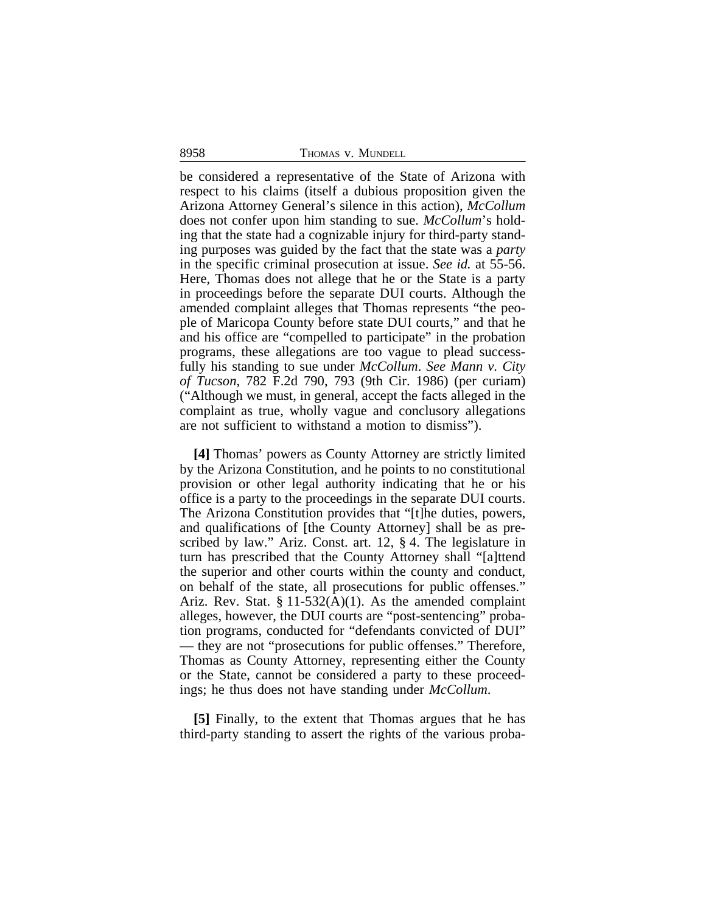8958 THOMAS v. MUNDELL

be considered a representative of the State of Arizona with respect to his claims (itself a dubious proposition given the Arizona Attorney General's silence in this action), *McCollum* does not confer upon him standing to sue. *McCollum*'s holding that the state had a cognizable injury for third-party standing purposes was guided by the fact that the state was a *party* in the specific criminal prosecution at issue. *See id.* at 55-56. Here, Thomas does not allege that he or the State is a party in proceedings before the separate DUI courts. Although the amended complaint alleges that Thomas represents "the people of Maricopa County before state DUI courts," and that he and his office are "compelled to participate" in the probation programs, these allegations are too vague to plead successfully his standing to sue under *McCollum*. *See Mann v. City of Tucson*, 782 F.2d 790, 793 (9th Cir. 1986) (per curiam) ("Although we must, in general, accept the facts alleged in the complaint as true, wholly vague and conclusory allegations are not sufficient to withstand a motion to dismiss").

**[4]** Thomas' powers as County Attorney are strictly limited by the Arizona Constitution, and he points to no constitutional provision or other legal authority indicating that he or his office is a party to the proceedings in the separate DUI courts. The Arizona Constitution provides that "[t]he duties, powers, and qualifications of [the County Attorney] shall be as prescribed by law." Ariz. Const. art. 12, § 4. The legislature in turn has prescribed that the County Attorney shall "[a]ttend the superior and other courts within the county and conduct, on behalf of the state, all prosecutions for public offenses." Ariz. Rev. Stat.  $\S 11-532(A)(1)$ . As the amended complaint alleges, however, the DUI courts are "post-sentencing" probation programs, conducted for "defendants convicted of DUI" — they are not "prosecutions for public offenses." Therefore, Thomas as County Attorney, representing either the County or the State, cannot be considered a party to these proceedings; he thus does not have standing under *McCollum*.

**[5]** Finally, to the extent that Thomas argues that he has third-party standing to assert the rights of the various proba-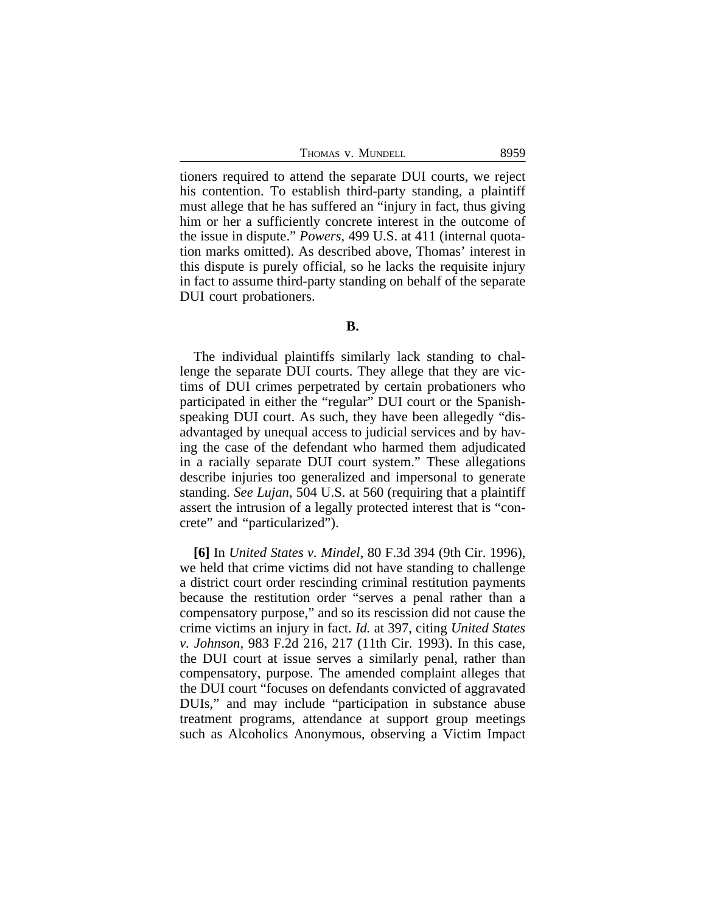THOMAS V. MUNDELL 8959

tioners required to attend the separate DUI courts, we reject his contention. To establish third-party standing, a plaintiff must allege that he has suffered an "injury in fact, thus giving him or her a sufficiently concrete interest in the outcome of the issue in dispute." *Powers*, 499 U.S. at 411 (internal quotation marks omitted). As described above, Thomas' interest in this dispute is purely official, so he lacks the requisite injury in fact to assume third-party standing on behalf of the separate DUI court probationers.

The individual plaintiffs similarly lack standing to challenge the separate DUI courts. They allege that they are victims of DUI crimes perpetrated by certain probationers who participated in either the "regular" DUI court or the Spanishspeaking DUI court. As such, they have been allegedly "disadvantaged by unequal access to judicial services and by having the case of the defendant who harmed them adjudicated in a racially separate DUI court system." These allegations describe injuries too generalized and impersonal to generate standing. *See Lujan*, 504 U.S. at 560 (requiring that a plaintiff assert the intrusion of a legally protected interest that is "concrete" and "particularized").

**[6]** In *United States v. Mindel*, 80 F.3d 394 (9th Cir. 1996), we held that crime victims did not have standing to challenge a district court order rescinding criminal restitution payments because the restitution order "serves a penal rather than a compensatory purpose," and so its rescission did not cause the crime victims an injury in fact. *Id.* at 397, citing *United States v. Johnson*, 983 F.2d 216, 217 (11th Cir. 1993). In this case, the DUI court at issue serves a similarly penal, rather than compensatory, purpose. The amended complaint alleges that the DUI court "focuses on defendants convicted of aggravated DUIs," and may include "participation in substance abuse treatment programs, attendance at support group meetings such as Alcoholics Anonymous, observing a Victim Impact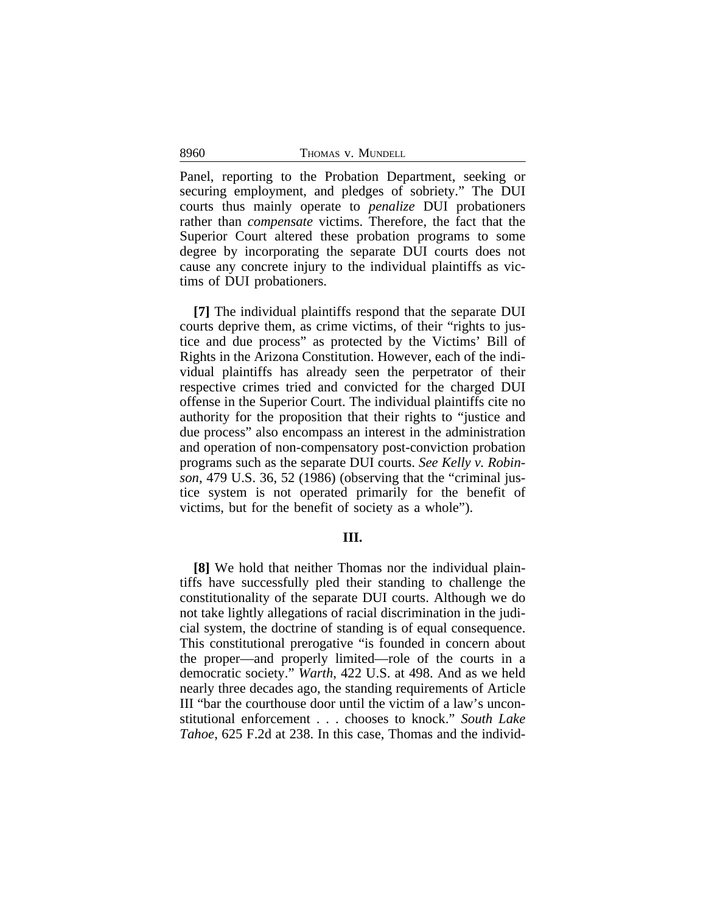8960 THOMAS V. MUNDELL

Panel, reporting to the Probation Department, seeking or securing employment, and pledges of sobriety." The DUI courts thus mainly operate to *penalize* DUI probationers rather than *compensate* victims. Therefore, the fact that the Superior Court altered these probation programs to some degree by incorporating the separate DUI courts does not cause any concrete injury to the individual plaintiffs as victims of DUI probationers.

**[7]** The individual plaintiffs respond that the separate DUI courts deprive them, as crime victims, of their "rights to justice and due process" as protected by the Victims' Bill of Rights in the Arizona Constitution. However, each of the individual plaintiffs has already seen the perpetrator of their respective crimes tried and convicted for the charged DUI offense in the Superior Court. The individual plaintiffs cite no authority for the proposition that their rights to "justice and due process" also encompass an interest in the administration and operation of non-compensatory post-conviction probation programs such as the separate DUI courts. *See Kelly v. Robinson*, 479 U.S. 36, 52 (1986) (observing that the "criminal justice system is not operated primarily for the benefit of victims, but for the benefit of society as a whole").

#### **III.**

**[8]** We hold that neither Thomas nor the individual plaintiffs have successfully pled their standing to challenge the constitutionality of the separate DUI courts. Although we do not take lightly allegations of racial discrimination in the judicial system, the doctrine of standing is of equal consequence. This constitutional prerogative "is founded in concern about the proper—and properly limited—role of the courts in a democratic society." *Warth*, 422 U.S. at 498. And as we held nearly three decades ago, the standing requirements of Article III "bar the courthouse door until the victim of a law's unconstitutional enforcement . . . chooses to knock." *South Lake Tahoe*, 625 F.2d at 238. In this case, Thomas and the individ-